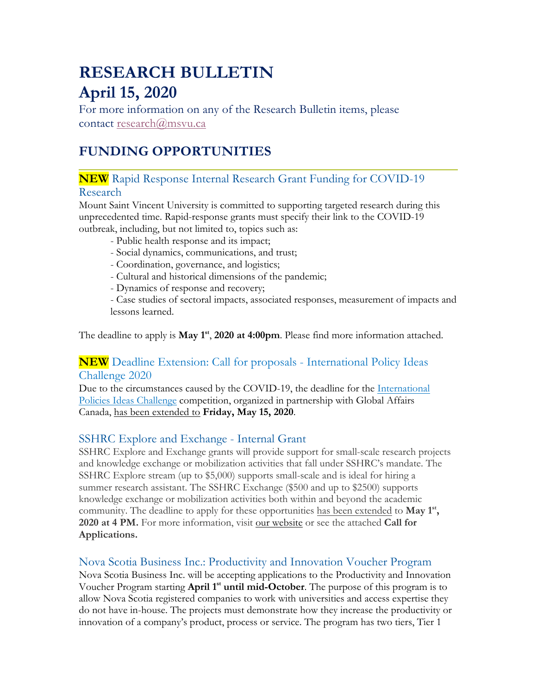# **RESEARCH BULLETIN April 15, 2020**

For more information on any of the Research Bulletin items, please contact research@msvu.ca

## **FUNDING OPPORTUNITIES**

## **NEW** Rapid Response Internal Research Grant Funding for COVID-19 Research

Mount Saint Vincent University is committed to supporting targeted research during this unprecedented time. Rapid-response grants must specify their link to the COVID-19 outbreak, including, but not limited to, topics such as:

- Public health response and its impact;
- Social dynamics, communications, and trust;
- Coordination, governance, and logistics;
- Cultural and historical dimensions of the pandemic;
- Dynamics of response and recovery;

- Case studies of sectoral impacts, associated responses, measurement of impacts and lessons learned.

The deadline to apply is **May 1 st**, **2020 at 4:00pm**. Please find more information attached.

## **NEW** Deadline Extension: Call for proposals - International Policy Ideas Challenge 2020

Due to the circumstances caused by the COVID-19, the deadline for the International Policies Ideas Challenge competition, organized in partnership with Global Affairs Canada, has been extended to **Friday, May 15, 2020**.

### SSHRC Explore and Exchange - Internal Grant

SSHRC Explore and Exchange grants will provide support for small-scale research projects and knowledge exchange or mobilization activities that fall under SSHRC's mandate. The SSHRC Explore stream (up to \$5,000) supports small-scale and is ideal for hiring a summer research assistant. The SSHRC Exchange (\$500 and up to \$2500) supports knowledge exchange or mobilization activities both within and beyond the academic community. The deadline to apply for these opportunities has been extended to **May 1 st, 2020 at 4 PM.** For more information, visit our website or see the attached **Call for Applications.**

### Nova Scotia Business Inc.: Productivity and Innovation Voucher Program

Nova Scotia Business Inc. will be accepting applications to the Productivity and Innovation Voucher Program starting **April 1<sup>st</sup> until mid-October**. The purpose of this program is to allow Nova Scotia registered companies to work with universities and access expertise they do not have in-house. The projects must demonstrate how they increase the productivity or innovation of a company's product, process or service. The program has two tiers, Tier 1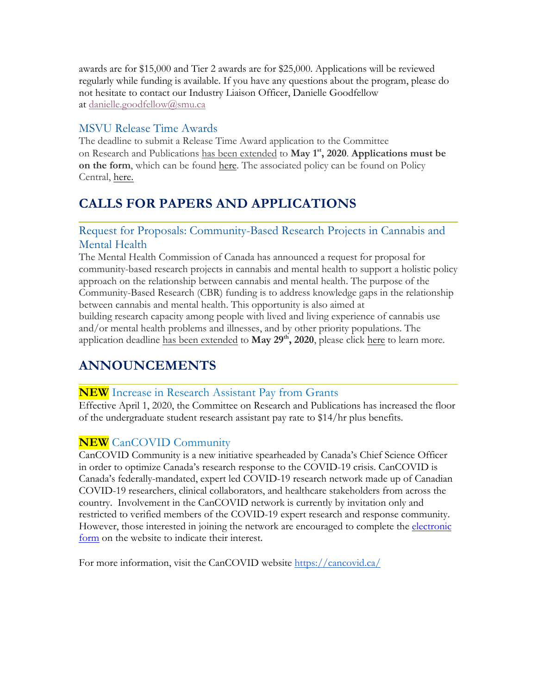awards are for \$15,000 and Tier 2 awards are for \$25,000. Applications will be reviewed regularly while funding is available. If you have any questions about the program, please do not hesitate to contact our Industry Liaison Officer, Danielle Goodfellow at danielle.goodfellow@smu.ca

## MSVU Release Time Awards

The deadline to submit a Release Time Award application to the Committee on Research and Publications has been extended to **May 1 st, 2020**. **Applications must be on the form**, which can be found here. The associated policy can be found on Policy Central, here.

## **CALLS FOR PAPERS AND APPLICATIONS**

## Request for Proposals: Community-Based Research Projects in Cannabis and Mental Health

The Mental Health Commission of Canada has announced a request for proposal for community-based research projects in cannabis and mental health to support a holistic policy approach on the relationship between cannabis and mental health. The purpose of the Community-Based Research (CBR) funding is to address knowledge gaps in the relationship between cannabis and mental health. This opportunity is also aimed at building research capacity among people with lived and living experience of cannabis use and/or mental health problems and illnesses, and by other priority populations. The application deadline has been extended to **May 29th, 2020**, please click here to learn more.

## **ANNOUNCEMENTS**

## **NEW** Increase in Research Assistant Pay from Grants

Effective April 1, 2020, the Committee on Research and Publications has increased the floor of the undergraduate student research assistant pay rate to \$14/hr plus benefits.

## **NEW** CanCOVID Community

CanCOVID Community is a new initiative spearheaded by Canada's Chief Science Officer in order to optimize Canada's research response to the COVID-19 crisis. CanCOVID is Canada's federally-mandated, expert led COVID-19 research network made up of Canadian COVID-19 researchers, clinical collaborators, and healthcare stakeholders from across the country. Involvement in the CanCOVID network is currently by invitation only and restricted to verified members of the COVID-19 expert research and response community. However, those interested in joining the network are encouraged to complete the electronic form on the website to indicate their interest.

For more information, visit the CanCOVID website https://cancovid.ca/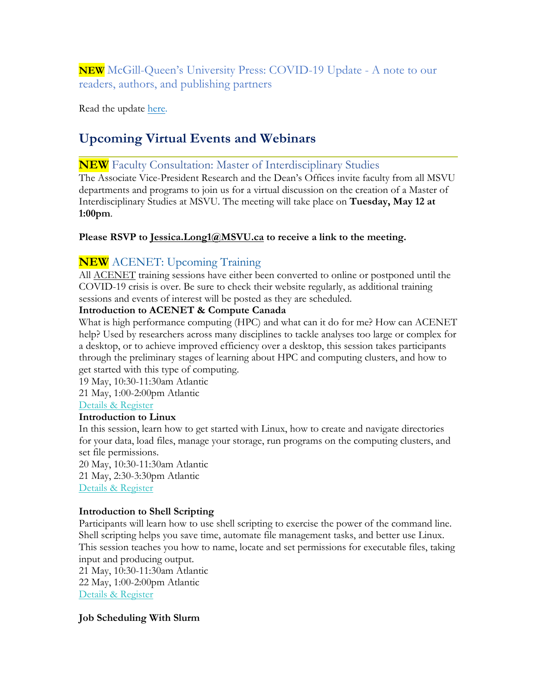**NEW** McGill-Queen's University Press: COVID-19 Update - A note to our readers, authors, and publishing partners

Read the update here.

## **Upcoming Virtual Events and Webinars**

#### **NEW** Faculty Consultation: Master of Interdisciplinary Studies

The Associate Vice-President Research and the Dean's Offices invite faculty from all MSVU departments and programs to join us for a virtual discussion on the creation of a Master of Interdisciplinary Studies at MSVU. The meeting will take place on **Tuesday, May 12 at 1:00pm**.

#### **Please RSVP to Jessica.Long1@MSVU.ca to receive a link to the meeting.**

### **NEW** ACENET: Upcoming Training

All ACENET training sessions have either been converted to online or postponed until the COVID-19 crisis is over. Be sure to check their website regularly, as additional training sessions and events of interest will be posted as they are scheduled.

#### **Introduction to ACENET & Compute Canada**

What is high performance computing (HPC) and what can it do for me? How can ACENET help? Used by researchers across many disciplines to tackle analyses too large or complex for a desktop, or to achieve improved efficiency over a desktop, this session takes participants through the preliminary stages of learning about HPC and computing clusters, and how to get started with this type of computing.

19 May, 10:30-11:30am Atlantic

21 May, 1:00-2:00pm Atlantic

Details & Register

#### **Introduction to Linux**

In this session, learn how to get started with Linux, how to create and navigate directories for your data, load files, manage your storage, run programs on the computing clusters, and set file permissions.

20 May, 10:30-11:30am Atlantic 21 May, 2:30-3:30pm Atlantic Details & Register

#### **Introduction to Shell Scripting**

Participants will learn how to use shell scripting to exercise the power of the command line. Shell scripting helps you save time, automate file management tasks, and better use Linux. This session teaches you how to name, locate and set permissions for executable files, taking input and producing output.

21 May, 10:30-11:30am Atlantic 22 May, 1:00-2:00pm Atlantic Details & Register

#### **Job Scheduling With Slurm**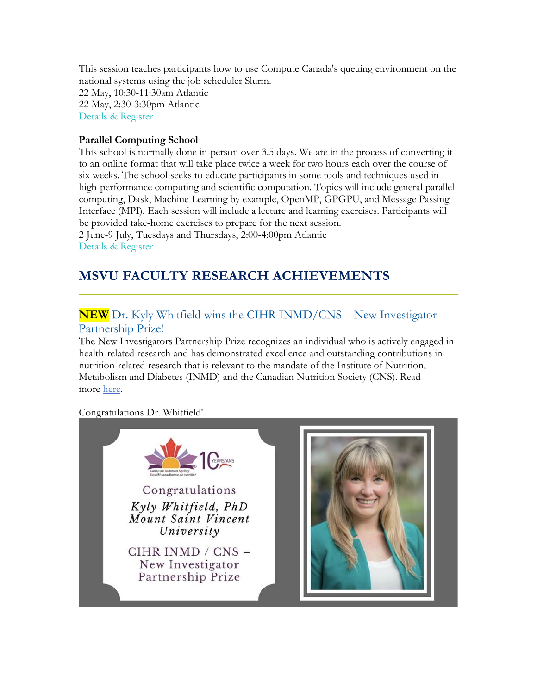This session teaches participants how to use Compute Canada's queuing environment on the national systems using the job scheduler Slurm.

22 May, 10:30-11:30am Atlantic 22 May, 2:30-3:30pm Atlantic Details & Register

#### **Parallel Computing School**

This school is normally done in-person over 3.5 days. We are in the process of converting it to an online format that will take place twice a week for two hours each over the course of six weeks. The school seeks to educate participants in some tools and techniques used in high-performance computing and scientific computation. Topics will include general parallel computing, Dask, Machine Learning by example, OpenMP, GPGPU, and Message Passing Interface (MPI). Each session will include a lecture and learning exercises. Participants will be provided take-home exercises to prepare for the next session.

2 June-9 July, Tuesdays and Thursdays, 2:00-4:00pm Atlantic Details & Register

## **MSVU FACULTY RESEARCH ACHIEVEMENTS**

## **NEW** Dr. Kyly Whitfield wins the CIHR INMD/CNS – New Investigator Partnership Prize!

The New Investigators Partnership Prize recognizes an individual who is actively engaged in health-related research and has demonstrated excellence and outstanding contributions in nutrition-related research that is relevant to the mandate of the Institute of Nutrition, Metabolism and Diabetes (INMD) and the Canadian Nutrition Society (CNS). Read more here.

Congratulations Dr. Whitfield!